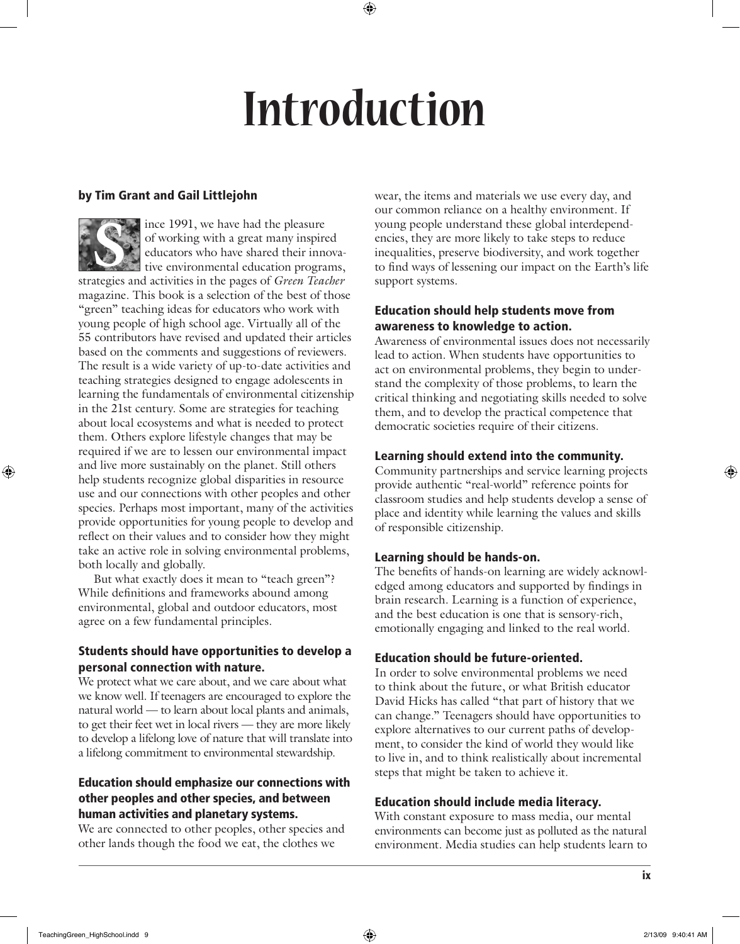# **Introduction**

# by Tim Grant and Gail Littlejohn

ince 1991, we have had the pleasure of working with a great many inspired educators who have shared their innovative environmental education programs, strategies and activities in the pages of *Green Teacher* magazine. This book is a selection of the best of those "green" teaching ideas for educators who work with young people of high school age. Virtually all of the 55 contributors have revised and updated their articles based on the comments and suggestions of reviewers. The result is a wide variety of up-to-date activities and teaching strategies designed to engage adolescents in learning the fundamentals of environmental citizenship in the 21st century. Some are strategies for teaching about local ecosystems and what is needed to protect them. Others explore lifestyle changes that may be required if we are to lessen our environmental impact and live more sustainably on the planet. Still others help students recognize global disparities in resource use and our connections with other peoples and other species. Perhaps most important, many of the activities provide opportunities for young people to develop and reflect on their values and to consider how they might take an active role in solving environmental problems, both locally and globally. **S**

But what exactly does it mean to "teach green"? While definitions and frameworks abound among environmental, global and outdoor educators, most agree on a few fundamental principles.

# Students should have opportunities to develop a personal connection with nature.

We protect what we care about, and we care about what we know well. If teenagers are encouraged to explore the natural world — to learn about local plants and animals, to get their feet wet in local rivers — they are more likely to develop a lifelong love of nature that will translate into a lifelong commitment to environmental stewardship.

#### Education should emphasize our connections with other peoples and other species, and between human activities and planetary systems.

We are connected to other peoples, other species and other lands though the food we eat, the clothes we

wear, the items and materials we use every day, and our common reliance on a healthy environment. If young people understand these global interdependencies, they are more likely to take steps to reduce inequalities, preserve biodiversity, and work together to find ways of lessening our impact on the Earth's life support systems.

#### Education should help students move from awareness to knowledge to action.

Awareness of environmental issues does not necessarily lead to action. When students have opportunities to act on environmental problems, they begin to understand the complexity of those problems, to learn the critical thinking and negotiating skills needed to solve them, and to develop the practical competence that democratic societies require of their citizens.

## Learning should extend into the community.

Community partnerships and service learning projects provide authentic "real-world" reference points for classroom studies and help students develop a sense of place and identity while learning the values and skills of responsible citizenship.

## Learning should be hands-on.

The benefits of hands-on learning are widely acknowledged among educators and supported by findings in brain research. Learning is a function of experience, and the best education is one that is sensory-rich, emotionally engaging and linked to the real world.

## Education should be future-oriented.

In order to solve environmental problems we need to think about the future, or what British educator David Hicks has called "that part of history that we can change." Teenagers should have opportunities to explore alternatives to our current paths of development, to consider the kind of world they would like to live in, and to think realistically about incremental steps that might be taken to achieve it.

## Education should include media literacy.

With constant exposure to mass media, our mental environments can become just as polluted as the natural environment. Media studies can help students learn to